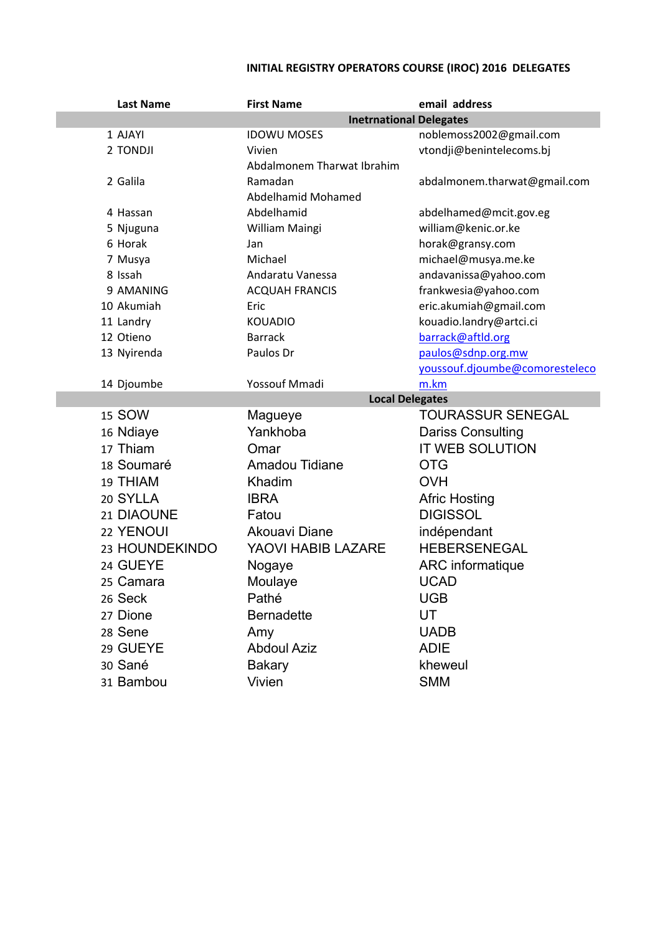## **INITIAL REGISTRY OPERATORS COURSE (IROC) 2016 DELEGATES**

| <b>Last Name</b> | <b>First Name</b>              | email address                  |  |
|------------------|--------------------------------|--------------------------------|--|
|                  | <b>Inetrnational Delegates</b> |                                |  |
| 1 AJAYI          | <b>IDOWU MOSES</b>             | noblemoss2002@gmail.com        |  |
| 2 TONDJI         | Vivien                         | vtondji@benintelecoms.bj       |  |
|                  | Abdalmonem Tharwat Ibrahim     |                                |  |
| 2 Galila         | Ramadan                        | abdalmonem.tharwat@gmail.com   |  |
|                  | Abdelhamid Mohamed             |                                |  |
| 4 Hassan         | Abdelhamid                     | abdelhamed@mcit.gov.eg         |  |
| 5 Njuguna        | William Maingi                 | william@kenic.or.ke            |  |
| 6 Horak          | Jan                            | horak@gransy.com               |  |
| 7 Musya          | Michael                        | michael@musya.me.ke            |  |
| 8 Issah          | Andaratu Vanessa               | andavanissa@yahoo.com          |  |
| 9 AMANING        | <b>ACQUAH FRANCIS</b>          | frankwesia@yahoo.com           |  |
| 10 Akumiah       | Eric                           | eric.akumiah@gmail.com         |  |
| 11 Landry        | <b>KOUADIO</b>                 | kouadio.landry@artci.ci        |  |
| 12 Otieno        | <b>Barrack</b>                 | barrack@aftld.org              |  |
| 13 Nyirenda      | Paulos Dr                      | paulos@sdnp.org.mw             |  |
|                  |                                | youssouf.djoumbe@comoresteleco |  |
| 14 Djoumbe       | Yossouf Mmadi                  | m.km                           |  |
|                  | <b>Local Delegates</b>         |                                |  |
| 15 SOW           | Magueye                        | <b>TOURASSUR SENEGAL</b>       |  |
| 16 Ndiaye        | Yankhoba                       | Dariss Consulting              |  |
| 17 Thiam         | Omar                           | <b>IT WEB SOLUTION</b>         |  |
| 18 Soumaré       | Amadou Tidiane                 | <b>OTG</b>                     |  |
| 19 THIAM         | Khadim                         | <b>OVH</b>                     |  |
| 20 SYLLA         | <b>IBRA</b>                    | <b>Afric Hosting</b>           |  |
| 21 DIAOUNE       | Fatou                          | <b>DIGISSOL</b>                |  |
| 22 YENOUI        | Akouavi Diane                  | indépendant                    |  |
| 23 HOUNDEKINDO   | YAOVI HABIB LAZARE             | <b>HEBERSENEGAL</b>            |  |
| 24 GUEYE         | Nogaye                         | ARC informatique               |  |
| 25 Camara        | Moulaye                        | <b>UCAD</b>                    |  |
| 26 Seck          | Pathé                          | <b>UGB</b>                     |  |
| 27 Dione         | <b>Bernadette</b>              | UT                             |  |
| 28 Sene          | Amy                            | <b>UADB</b>                    |  |
| 29 GUEYE         | <b>Abdoul Aziz</b>             | <b>ADIE</b>                    |  |
| 30 Sané          | <b>Bakary</b>                  | kheweul                        |  |
| 31 Bambou        | Vivien                         | <b>SMM</b>                     |  |
|                  |                                |                                |  |